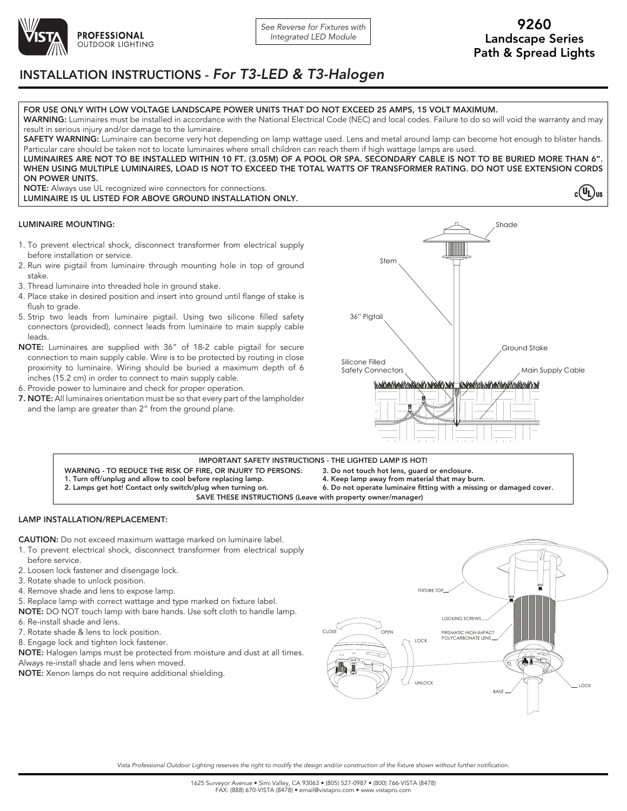

 $c(U_L)$ us

## INSTALLATION INSTRUCTIONS - *For T3-LED & T3-Halogen*

### FOR USE ONLY WITH LOW VOLTAGE LANDSCAPE POWER UNITS THAT DO NOT EXCEED 25 AMPS, 15 VOLT MAXIMUM.

WARNING: Luminaires must be installed in accordance with the National Electrical Code (NEC) and local codes. Failure to do so will void the warranty and may result in serious injury and/or damage to the luminaire.

SAFETY WARNING: Luminaire can become very hot depending on lamp wattage used. Lens and metal around lamp can become hot enough to blister hands. Particular care should be taken not to locate luminaires where small children can reach them if high wattage lamps are used. LUMINAIRES ARE NOT TO BE INSTALLED WITHIN 10 FT. (3.05M) OF A POOL OR SPA. SECONDARY CABLE IS NOT TO BE BURIED MORE THAN 6".

WHEN USING MULTIPLE LUMINAIRES, LOAD IS NOT TO EXCEED THE TOTAL WATTS OF TRANSFORMER RATING. DO NOT USE EXTENSION CORDS ON POWER UNITS.

NOTE: Always use UL recognized wire connectors for connections. LUMINAIRE IS UL LISTED FOR ABOVE GROUND INSTALLATION ONLY.

### LUMINAIRE MOUNTING:

- 1. To prevent electrical shock, disconnect transformer from electrical supply before installation or service.
- 2. Run wire pigtail from luminaire through mounting hole in top of ground stake.
- 3. Thread luminaire into threaded hole in ground stake.
- 4. Place stake in desired position and insert into ground until flange of stake is flush to grade.
- 5. Strip two leads from luminaire pigtail. Using two silicone filled safety connectors (provided), connect leads from luminaire to main supply cable leads.
- NOTE: Luminaires are supplied with 36" of 18-2 cable pigtail for secure connection to main supply cable. Wire is to be protected by routing in close proximity to luminaire. Wiring should be buried a maximum depth of 6 inches (15.2 cm) in order to connect to main supply cable.
- 6. Provide power to luminaire and check for proper operation.
- 7. NOTE: All luminaires orientation must be so that every part of the lampholder and the lamp are greater than 2" from the ground plane.



WARNING - TO REDUCE THE RISK OF FIRE, OR INJURY TO PERSONS: 1. Turn off/unplug and allow to cool before replacing lamp. 2. Lamps get hot! Contact only switch/plug when turning on. 3. Do not touch hot lens, guard or enclosure. 4. Keep lamp away from material that may burn. 6. Do not operate luminaire fitting with a missing or damaged cover. IMPORTANT SAFETY INSTRUCTIONS - THE LIGHTED LAMP IS HOT! SAVE THESE INSTRUCTIONS (Leave with property owner/manager)

### LAMP INSTALLATION/REPLACEMENT:

CAUTION: Do not exceed maximum wattage marked on luminaire label.

- 1. To prevent electrical shock, disconnect transformer from electrical supply before service.
- 2. Loosen lock fastener and disengage lock.
- 3. Rotate shade to unlock position.
- 4. Remove shade and lens to expose lamp.
- 5. Replace lamp with correct wattage and type marked on fixture label.
- NOTE: DO NOT touch lamp with bare hands. Use soft cloth to handle lamp.
- 6. Re-install shade and lens.
- 7. Rotate shade & lens to lock position.
- 8. Engage lock and tighten lock fastener.

NOTE: Halogen lamps must be protected from moisture and dust at all times. Always re-install shade and lens when moved.

NOTE: Xenon lamps do not require additional shielding.



*Vista Professional Outdoor Lighting reserves the right to modify the design and/or construction of the fixture shown without further notification.*